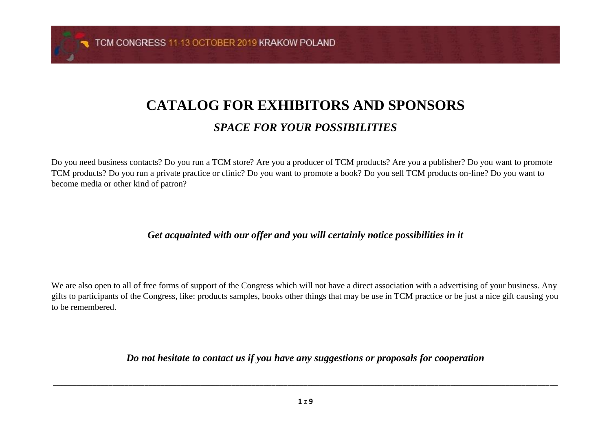TCM CONGRESS 11-13 OCTOBER 2019 KRAKOW POLAND

# **CATALOG FOR EXHIBITORS AND SPONSORS**

### *SPACE FOR YOUR POSSIBILITIES*

Do you need business contacts? Do you run a TCM store? Are you a producer of TCM products? Are you a publisher? Do you want to promote TCM products? Do you run a private practice or clinic? Do you want to promote a book? Do you sell TCM products on-line? Do you want to become media or other kind of patron?

#### *Get acquainted with our offer and you will certainly notice possibilities in it*

We are also open to all of free forms of support of the Congress which will not have a direct association with a advertising of your business. Any gifts to participants of the Congress, like: products samples, books other things that may be use in TCM practice or be just a nice gift causing you to be remembered.

*Do not hesitate to contact us if you have any suggestions or proposals for cooperation*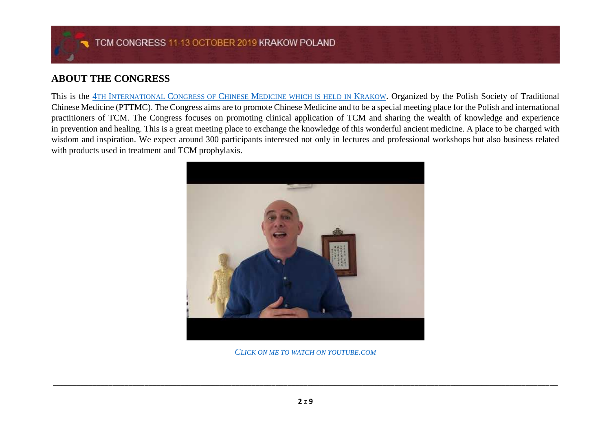#### **ABOUT THE CONGRESS**

This is the 4TH INTERNATIONAL CONGRESS OF CHINESE M[EDICINE WHICH IS HELD IN](http://tcm-kongres.pl/) KRAKOW. Organized by the Polish Society of Traditional Chinese Medicine (PTTMC). The Congress aims are to promote Chinese Medicine and to be a special meeting place for the Polish and international practitioners of TCM. The Congress focuses on promoting clinical application of TCM and sharing the wealth of knowledge and experience in prevention and healing. This is a great meeting place to exchange the knowledge of this wonderful ancient medicine. A place to be charged with wisdom and inspiration. We expect around 300 participants interested not only in lectures and professional workshops but also business related with products used in treatment and TCM prophylaxis.



*C[LICK ON ME TO WATCH ON YOUTUBE](https://www.youtube.com/watch?v=dFoQvOdqYeI).COM*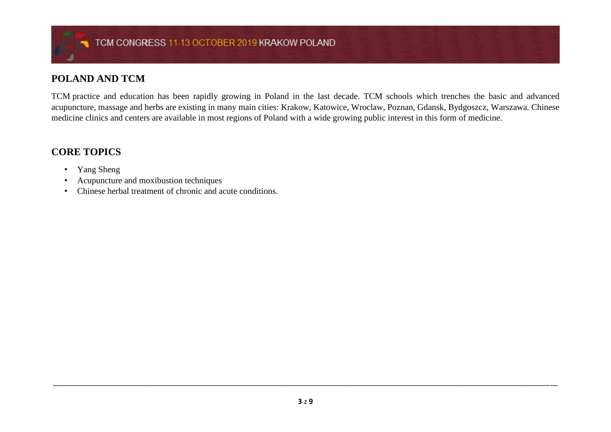#### **POLAND AND TCM**

TCM practice and education has been rapidly growing in Poland in the last decade. TCM schools which trenches the basic and advanced acupuncture, massage and herbs are existing in many main cities: Krakow, Katowice, Wroclaw, Poznan, Gdansk, Bydgoszcz, Warszawa. Chinese medicine clinics and centers are available in most regions of Poland with a wide growing public interest in this form of medicine.

#### **CORE TOPICS**

- Yang Sheng
- Acupuncture and moxibustion techniques
- Chinese herbal treatment of chronic and acute conditions.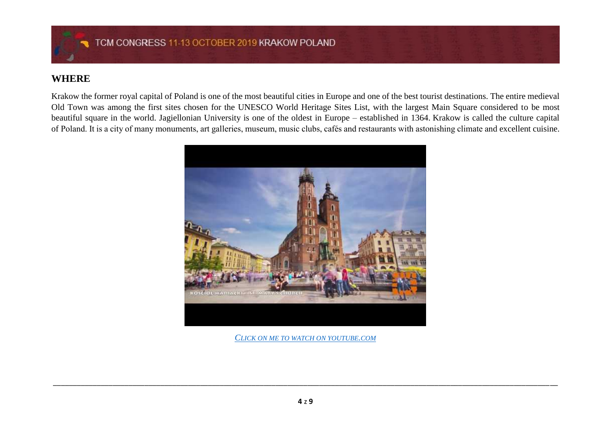#### **WHERE**

Krakow the former royal capital of Poland is one of the most beautiful cities in Europe and one of the best tourist destinations. The entire medieval Old Town was among the first sites chosen for the UNESCO World Heritage Sites List, with the largest Main Square considered to be most beautiful square in the world. Jagiellonian University is one of the oldest in Europe – established in 1364. Krakow is called the culture capital of Poland. It is a city of many monuments, art galleries, museum, music clubs, cafés and restaurants with astonishing climate and excellent cuisine.



*C[LICK ON ME TO WATCH](https://www.youtube.com/watch?v=6eUvzOFR2nQ) ON YOUTUBE.COM*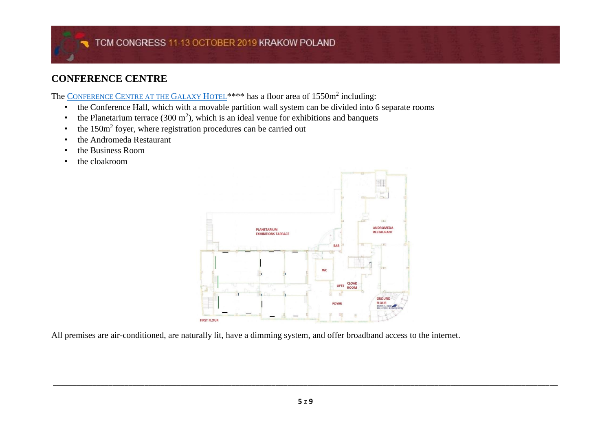### **CONFERENCE CENTRE**

The CONFERENCE C[ENTRE AT THE](https://galaxyhotel.pl/en/conferences/conference-centre) GALAXY HOTEL<sup>\*\*\*\*</sup> has a floor area of 1550m<sup>2</sup> including:

- the Conference Hall, which with a movable partition wall system can be divided into 6 separate rooms
- the Planetarium terrace  $(300 \text{ m}^2)$ , which is an ideal venue for exhibitions and banquets
- the 150m<sup>2</sup> foyer, where registration procedures can be carried out
- the Andromeda Restaurant
- the Business Room
- the cloakroom



All premises are air-conditioned, are naturally lit, have a dimming system, and offer broadband access to the internet.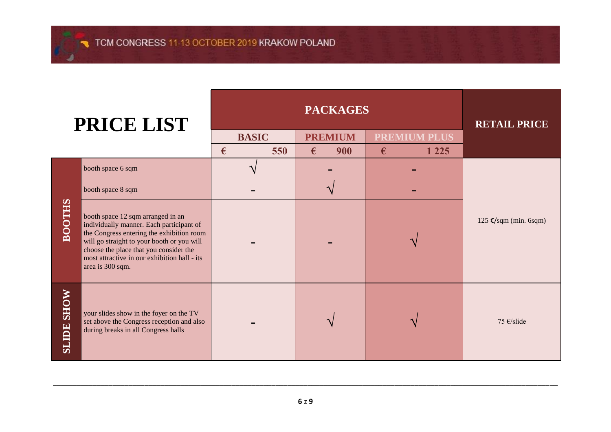| PRICE LIST        |                                                                                                                                                                                                                                                                                        | <b>PACKAGES</b> |                        |                     | <b>RETAIL PRICE</b>            |
|-------------------|----------------------------------------------------------------------------------------------------------------------------------------------------------------------------------------------------------------------------------------------------------------------------------------|-----------------|------------------------|---------------------|--------------------------------|
|                   |                                                                                                                                                                                                                                                                                        | <b>BASIC</b>    | <b>PREMIUM</b>         | <b>PREMIUM PLUS</b> |                                |
|                   |                                                                                                                                                                                                                                                                                        | €<br>550        | 900<br>€               | 1 2 2 5<br>€        |                                |
| <b>BOOTHS</b>     | booth space 6 sqm                                                                                                                                                                                                                                                                      |                 |                        |                     |                                |
|                   | booth space 8 sqm                                                                                                                                                                                                                                                                      |                 | $\boldsymbol{\Lambda}$ |                     |                                |
|                   | booth space 12 sqm arranged in an<br>individually manner. Each participant of<br>the Congress entering the exhibition room<br>will go straight to your booth or you will<br>choose the place that you consider the<br>most attractive in our exhibition hall - its<br>area is 300 sqm. |                 |                        |                     | $125 \text{€/sqm (min. 6sqm)}$ |
| <b>SLIDE SHOW</b> | your slides show in the foyer on the TV<br>set above the Congress reception and also<br>during breaks in all Congress halls                                                                                                                                                            |                 |                        |                     | 75 €/slide                     |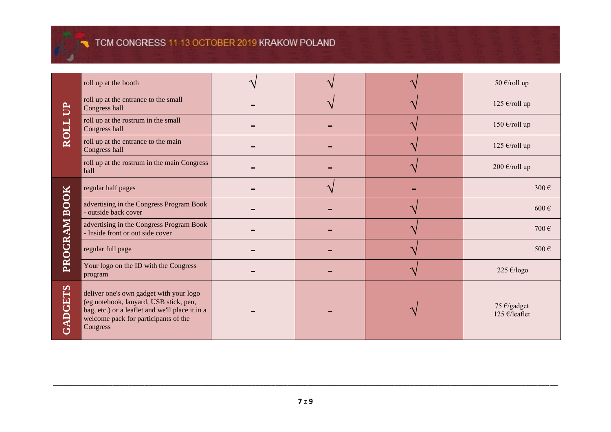## TCM CONGRESS 11-13 OCTOBER 2019 KRAKOW POLAND

| $\mathbf{B}$<br>ROLL   | roll up at the booth                                                                                                                                                                     |  | 50 €/roll up                 |
|------------------------|------------------------------------------------------------------------------------------------------------------------------------------------------------------------------------------|--|------------------------------|
|                        | roll up at the entrance to the small<br>Congress hall                                                                                                                                    |  | 125 €/roll up                |
|                        | roll up at the rostrum in the small<br>Congress hall                                                                                                                                     |  | 150 €/roll up                |
|                        | roll up at the entrance to the main<br>Congress hall                                                                                                                                     |  | 125 €/roll up                |
|                        | roll up at the rostrum in the main Congress<br>hall                                                                                                                                      |  | 200 €/roll up                |
| <b>BOOK</b><br>PROGRAM | regular half pages                                                                                                                                                                       |  | 300€                         |
|                        | advertising in the Congress Program Book<br>- outside back cover                                                                                                                         |  | $600 \in$                    |
|                        | advertising in the Congress Program Book<br>- Inside front or out side cover                                                                                                             |  | 700€                         |
|                        | regular full page                                                                                                                                                                        |  | 500€                         |
|                        | Your logo on the ID with the Congress<br>program                                                                                                                                         |  | 225 €/logo                   |
| GADGETS                | deliver one's own gadget with your logo<br>(eg notebook, lanyard, USB stick, pen,<br>bag, etc.) or a leaflet and we'll place it in a<br>welcome pack for participants of the<br>Congress |  | 75 €/gadget<br>125 €/leaflet |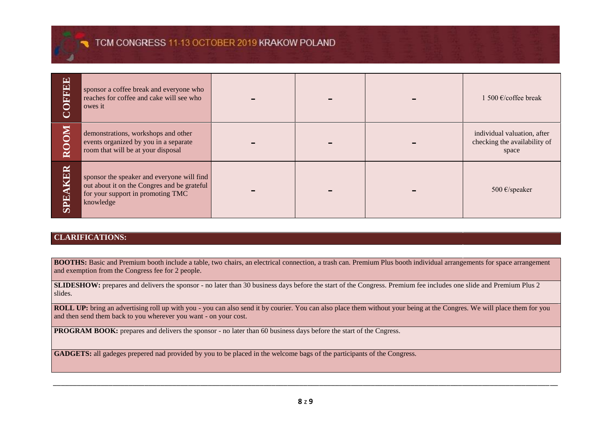### TCM CONGRESS 11-13 OCTOBER 2019 KRAKOW POLAND

| OFFEE<br>Ŏ | sponsor a coffee break and everyone who<br>reaches for coffee and cake will see who<br>owes it                                              |  | 1 500 €/ $co$ ffee break                                             |
|------------|---------------------------------------------------------------------------------------------------------------------------------------------|--|----------------------------------------------------------------------|
| ROOM       | demonstrations, workshops and other<br>events organized by you in a separate<br>room that will be at your disposal                          |  | individual valuation, after<br>checking the availability of<br>space |
| SPEAKER    | sponsor the speaker and everyone will find<br>out about it on the Congres and be grateful<br>for your support in promoting TMC<br>knowledge |  | 500 $\epsilon$ /speaker                                              |

#### **CLARIFICATIONS:**

**BOOTHS:** Basic and Premium booth include a table, two chairs, an electrical connection, a trash can. Premium Plus booth individual arrangements for space arrangement and exemption from the Congress fee for 2 people.

**SLIDESHOW:** prepares and delivers the sponsor - no later than 30 business days before the start of the Congress. Premium fee includes one slide and Premium Plus 2 slides.

**ROLL UP:** bring an advertising roll up with you - you can also send it by courier. You can also place them without your being at the Congres. We will place them for you and then send them back to you wherever you want - on your cost.

**PROGRAM BOOK:** prepares and delivers the sponsor - no later than 60 business days before the start of the Cngress.

**GADGETS:** all gadeges prepered nad provided by you to be placed in the welcome bags of the participants of the Congress.